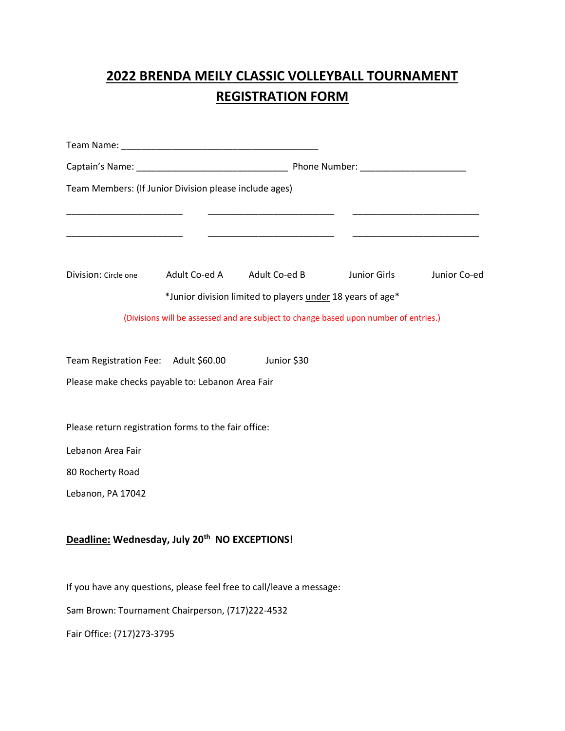## **2022 BRENDA MEILY CLASSIC VOLLEYBALL TOURNAMENT REGISTRATION FORM**

| Team Members: (If Junior Division please include ages)               |  |                                                                                      |              |              |
|----------------------------------------------------------------------|--|--------------------------------------------------------------------------------------|--------------|--------------|
|                                                                      |  |                                                                                      |              |              |
| Division: Circle one                                                 |  | Adult Co-ed A Adult Co-ed B                                                          | Junior Girls | Junior Co-ed |
|                                                                      |  | *Junior division limited to players under 18 years of age*                           |              |              |
|                                                                      |  | (Divisions will be assessed and are subject to change based upon number of entries.) |              |              |
| Team Registration Fee: Adult \$60.00                                 |  | Junior \$30                                                                          |              |              |
| Please make checks payable to: Lebanon Area Fair                     |  |                                                                                      |              |              |
| Please return registration forms to the fair office:                 |  |                                                                                      |              |              |
| Lebanon Area Fair                                                    |  |                                                                                      |              |              |
| 80 Rocherty Road                                                     |  |                                                                                      |              |              |
| Lebanon, PA 17042                                                    |  |                                                                                      |              |              |
| Deadline: Wednesday, July 20 <sup>th</sup> NO EXCEPTIONS!            |  |                                                                                      |              |              |
| If you have any questions, please feel free to call/leave a message: |  |                                                                                      |              |              |
| Sam Brown: Tournament Chairperson, (717)222-4532                     |  |                                                                                      |              |              |
| Fair Office: (717)273-3795                                           |  |                                                                                      |              |              |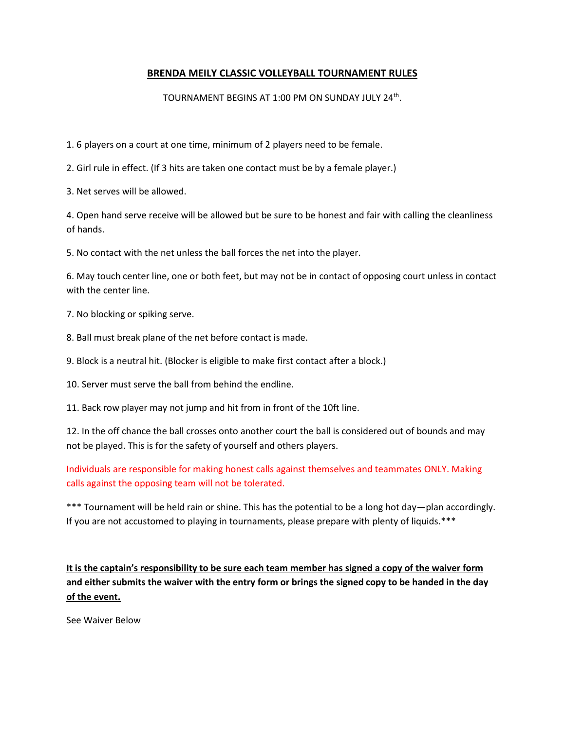## **BRENDA MEILY CLASSIC VOLLEYBALL TOURNAMENT RULES**

## TOURNAMENT BEGINS AT 1:00 PM ON SUNDAY JULY 24<sup>th</sup>.

1. 6 players on a court at one time, minimum of 2 players need to be female.

2. Girl rule in effect. (If 3 hits are taken one contact must be by a female player.)

3. Net serves will be allowed.

4. Open hand serve receive will be allowed but be sure to be honest and fair with calling the cleanliness of hands.

5. No contact with the net unless the ball forces the net into the player.

6. May touch center line, one or both feet, but may not be in contact of opposing court unless in contact with the center line.

7. No blocking or spiking serve.

8. Ball must break plane of the net before contact is made.

9. Block is a neutral hit. (Blocker is eligible to make first contact after a block.)

10. Server must serve the ball from behind the endline.

11. Back row player may not jump and hit from in front of the 10ft line.

12. In the off chance the ball crosses onto another court the ball is considered out of bounds and may not be played. This is for the safety of yourself and others players.

Individuals are responsible for making honest calls against themselves and teammates ONLY. Making calls against the opposing team will not be tolerated.

\*\*\* Tournament will be held rain or shine. This has the potential to be a long hot day—plan accordingly. If you are not accustomed to playing in tournaments, please prepare with plenty of liquids.\*\*\*

**It is the captain's responsibility to be sure each team member has signed a copy of the waiver form and either submits the waiver with the entry form or brings the signed copy to be handed in the day of the event.** 

See Waiver Below